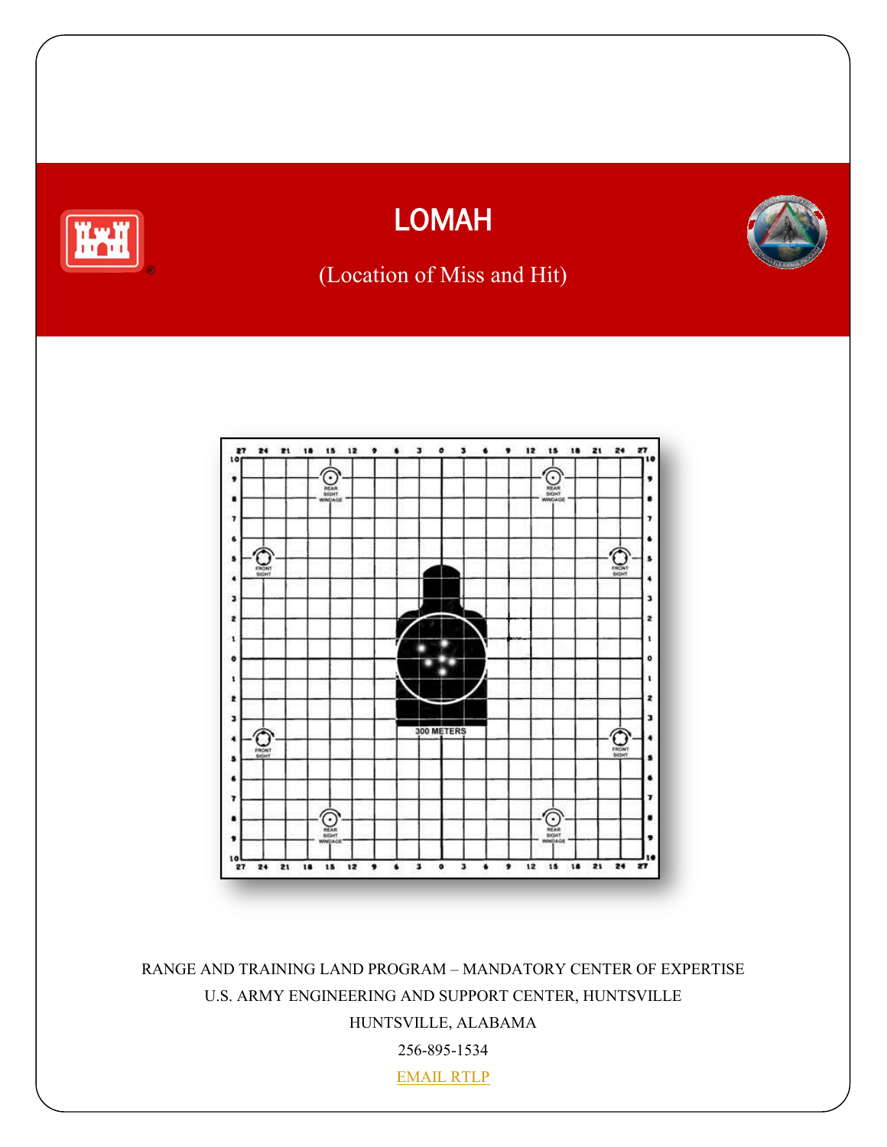

# LOMAH



# (Location of Miss and Hit)



RANGE AND TRAINING LAND PROGRAM – MANDATORY CENTER OF EXPERTISE U.S. ARMY ENGINEERING AND SUPPORT CENTER, HUNTSVILLE HUNTSVILLE, ALABAMA 256-895-1534 EMAIL RTLP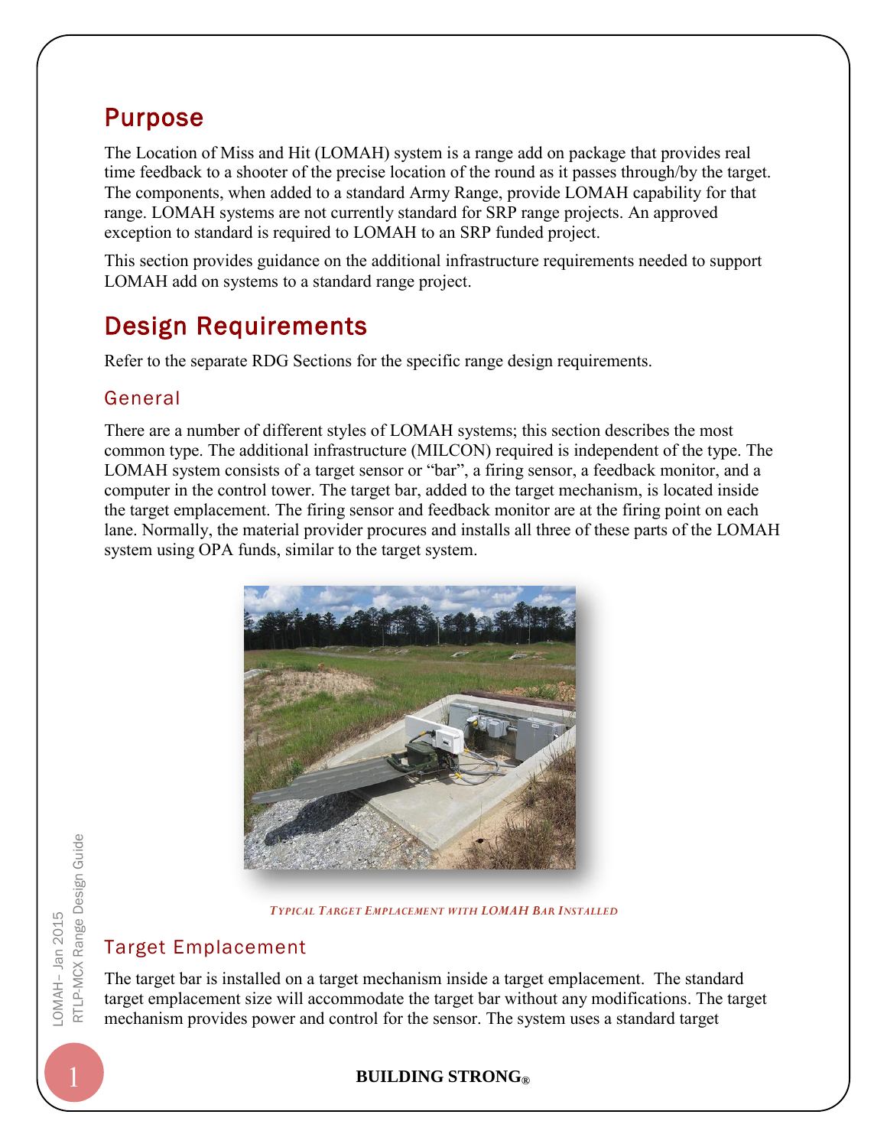## Purpose

The Location of Miss and Hit (LOMAH) system is a range add on package that provides real time feedback to a shooter of the precise location of the round as it passes through/by the target. The components, when added to a standard Army Range, provide LOMAH capability for that range. LOMAH systems are not currently standard for SRP range projects. An approved exception to standard is required to LOMAH to an SRP funded project.

This section provides guidance on the additional infrastructure requirements needed to support LOMAH add on systems to a standard range project.

# Design Requirements

Refer to the separate RDG Sections for the specific range design requirements.

### General

There are a number of different styles of LOMAH systems; this section describes the most common type. The additional infrastructure (MILCON) required is independent of the type. The LOMAH system consists of a target sensor or "bar", a firing sensor, a feedback monitor, and a computer in the control tower. The target bar, added to the target mechanism, is located inside the target emplacement. The firing sensor and feedback monitor are at the firing point on each lane. Normally, the material provider procures and installs all three of these parts of the LOMAH system using OPA funds, similar to the target system.



*TYPICAL TARGET EMPLACEMENT WITH LOMAH BAR INSTALLED*

### Target Emplacement

The target bar is installed on a target mechanism inside a target emplacement. The standard target emplacement size will accommodate the target bar without any modifications. The target mechanism provides power and control for the sensor. The system uses a standard target

### 1 **BUILDING STRONG®**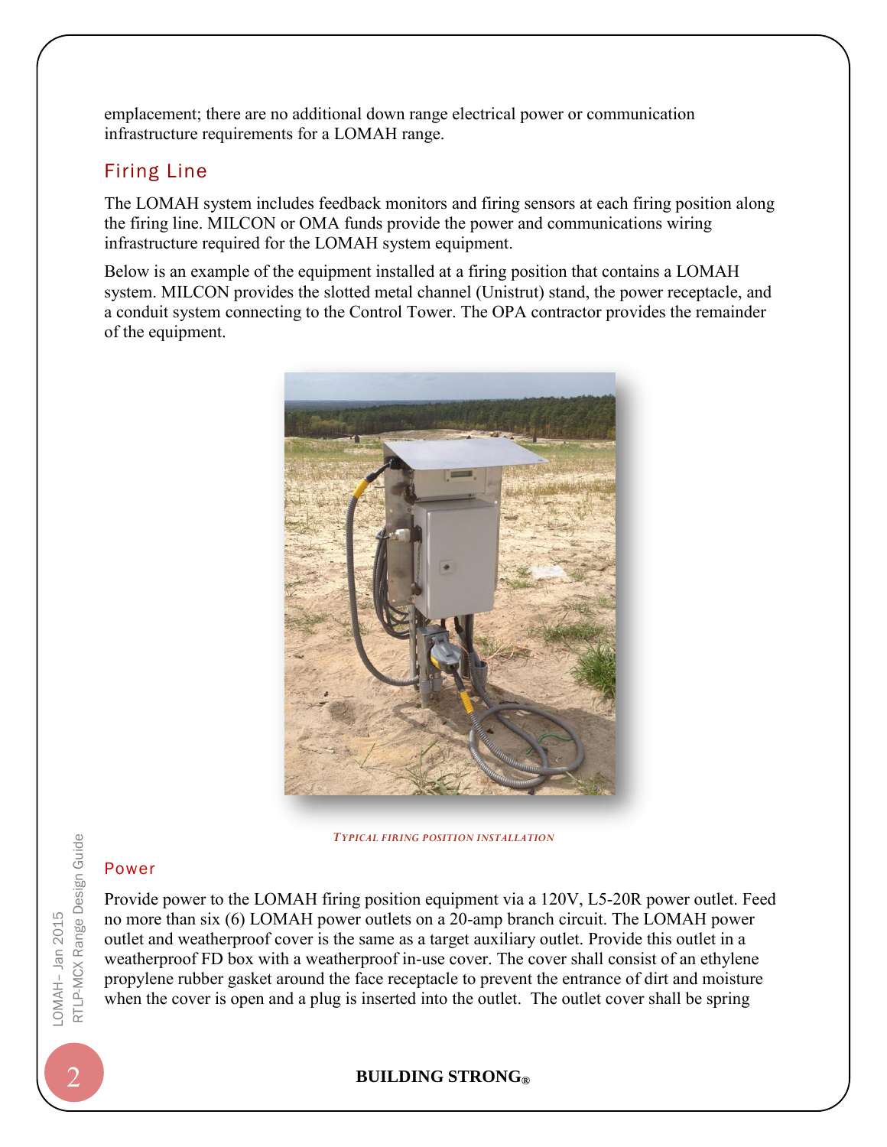emplacement; there are no additional down range electrical power or communication infrastructure requirements for a LOMAH range.

### Firing Line

The LOMAH system includes feedback monitors and firing sensors at each firing position along the firing line. MILCON or OMA funds provide the power and communications wiring infrastructure required for the LOMAH system equipment.

Below is an example of the equipment installed at a firing position that contains a LOMAH system. MILCON provides the slotted metal channel (Unistrut) stand, the power receptacle, and a conduit system connecting to the Control Tower. The OPA contractor provides the remainder of the equipment.



*TYPICAL FIRING POSITION INSTALLATION*

#### Power

Provide power to the LOMAH firing position equipment via a 120V, L5-20R power outlet. Feed no more than six (6) LOMAH power outlets on a 20-amp branch circuit. The LOMAH power outlet and weatherproof cover is the same as a target auxiliary outlet. Provide this outlet in a weatherproof FD box with a weatherproof in-use cover. The cover shall consist of an ethylene propylene rubber gasket around the face receptacle to prevent the entrance of dirt and moisture when the cover is open and a plug is inserted into the outlet. The outlet cover shall be spring

#### 2 **BUILDING STRONG®**

LOMAH– Jan 201 -0MAH- Jan 2015 RTLP-MCX Range Design Guide RTLP-MCX Range Design Guide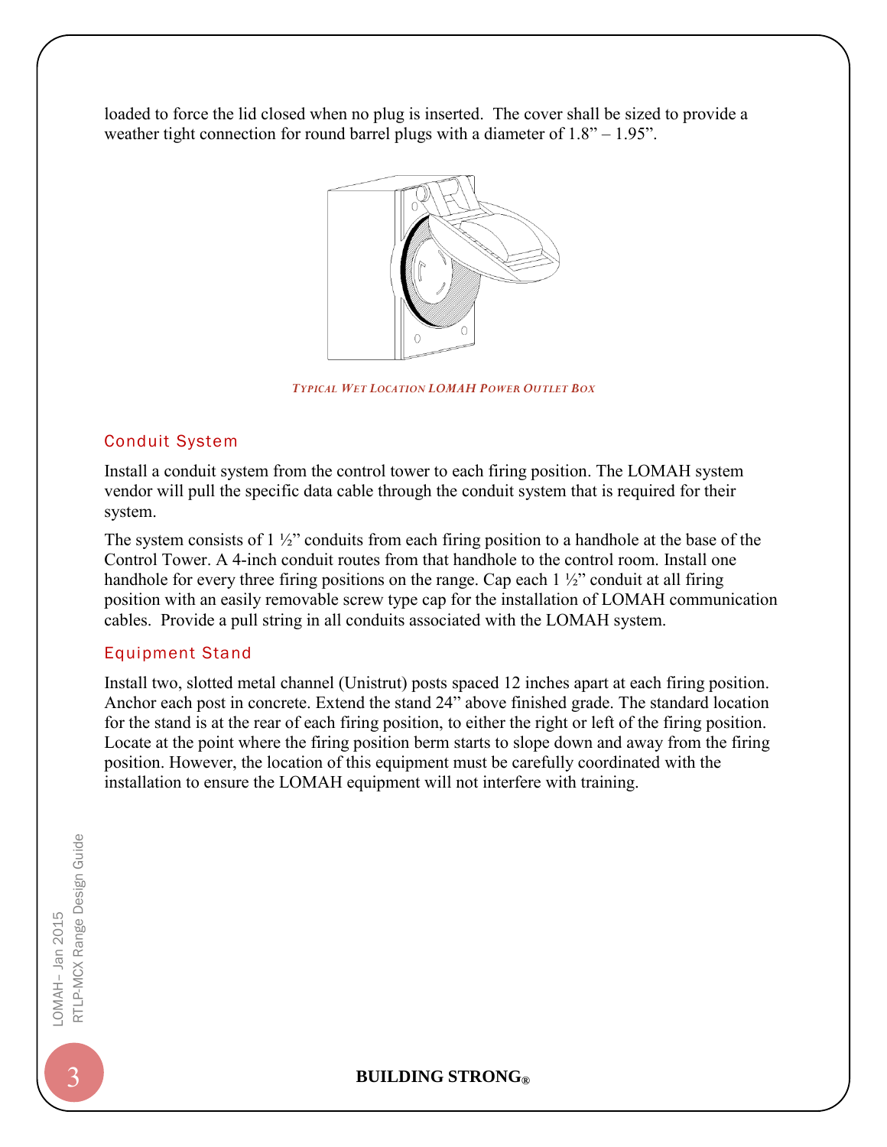loaded to force the lid closed when no plug is inserted. The cover shall be sized to provide a weather tight connection for round barrel plugs with a diameter of  $1.8" - 1.95"$ .



*TYPICAL WET LOCATION LOMAH POWER OUTLET BOX*

#### Conduit System

Install a conduit system from the control tower to each firing position. The LOMAH system vendor will pull the specific data cable through the conduit system that is required for their system.

The system consists of 1 ½" conduits from each firing position to a handhole at the base of the Control Tower. A 4-inch conduit routes from that handhole to the control room. Install one handhole for every three firing positions on the range. Cap each  $1\frac{1}{2}$  conduit at all firing position with an easily removable screw type cap for the installation of LOMAH communication cables. Provide a pull string in all conduits associated with the LOMAH system.

#### Equipment Stand

Install two, slotted metal channel (Unistrut) posts spaced 12 inches apart at each firing position. Anchor each post in concrete. Extend the stand 24" above finished grade. The standard location for the stand is at the rear of each firing position, to either the right or left of the firing position. Locate at the point where the firing position berm starts to slope down and away from the firing position. However, the location of this equipment must be carefully coordinated with the installation to ensure the LOMAH equipment will not interfere with training.

#### 3 **BUILDING STRONG®**